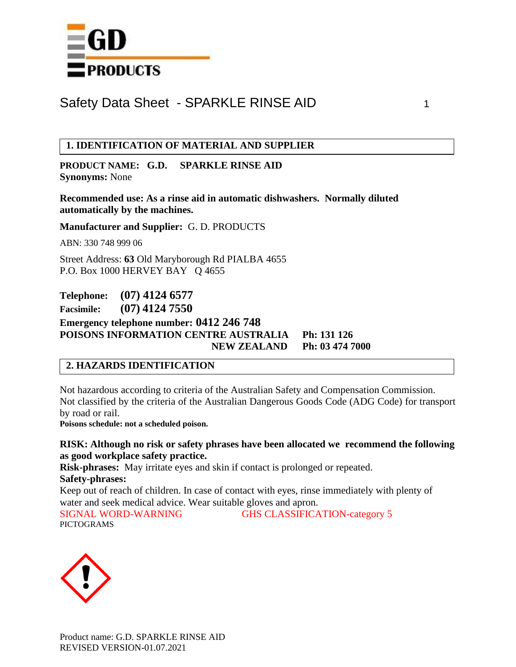

## **1. IDENTIFICATION OF MATERIAL AND SUPPLIER**

**PRODUCT NAME: G.D. SPARKLE RINSE AID Synonyms:** None

**Recommended use: As a rinse aid in automatic dishwashers. Normally diluted automatically by the machines.**

**Manufacturer and Supplier:** G. D. PRODUCTS

ABN: 330 748 999 06

Street Address: **63** Old Maryborough Rd PIALBA 4655 P.O. Box 1000 HERVEY BAY Q 4655

**Telephone: (07) 4124 6577 Facsimile: (07) 4124 7550 Emergency telephone number: 0412 246 748 POISONS INFORMATION CENTRE AUSTRALIA Ph: 131 126 NEW ZEALAND Ph: 03 474 7000**

## **2. HAZARDS IDENTIFICATION**

Not hazardous according to criteria of the Australian Safety and Compensation Commission. Not classified by the criteria of the Australian Dangerous Goods Code (ADG Code) for transport by road or rail.

**Poisons schedule: not a scheduled poison.**

**RISK: Although no risk or safety phrases have been allocated we recommend the following as good workplace safety practice.**

**Risk-phrases:** May irritate eyes and skin if contact is prolonged or repeated.

**Safety-phrases:** 

Keep out of reach of children. In case of contact with eyes, rinse immediately with plenty of water and seek medical advice. Wear suitable gloves and apron.

SIGNAL WORD-WARNING GHS CLASSIFICATION-category 5 PICTOGRAMS

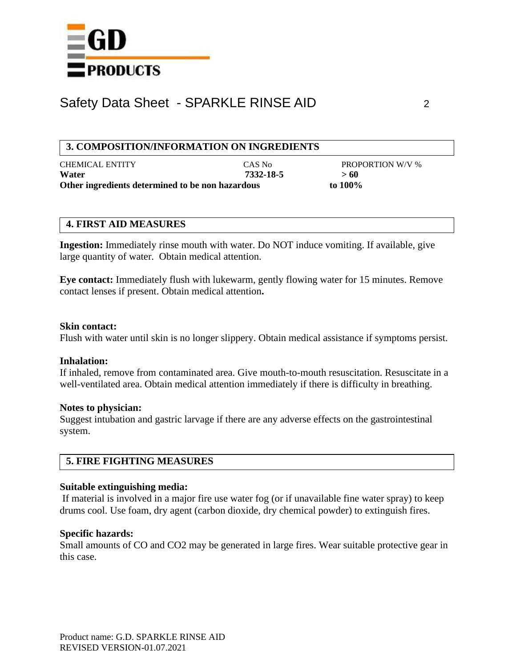

### **3. COMPOSITION/INFORMATION ON INGREDIENTS**

| <b>CHEMICAL ENTITY</b>                           | CAS No    | <b>PROPORTION W/V %</b> |
|--------------------------------------------------|-----------|-------------------------|
| Water                                            | 7332-18-5 | >60                     |
| Other ingredients determined to be non hazardous |           | to 100%                 |

### **4. FIRST AID MEASURES**

**Ingestion:** Immediately rinse mouth with water. Do NOT induce vomiting. If available, give large quantity of water. Obtain medical attention.

**Eye contact:** Immediately flush with lukewarm, gently flowing water for 15 minutes. Remove contact lenses if present. Obtain medical attention**.**

#### **Skin contact:**

Flush with water until skin is no longer slippery. Obtain medical assistance if symptoms persist.

#### **Inhalation:**

If inhaled, remove from contaminated area. Give mouth-to-mouth resuscitation. Resuscitate in a well-ventilated area. Obtain medical attention immediately if there is difficulty in breathing.

#### **Notes to physician:**

Suggest intubation and gastric larvage if there are any adverse effects on the gastrointestinal system.

## **5. FIRE FIGHTING MEASURES**

### **Suitable extinguishing media:**

If material is involved in a major fire use water fog (or if unavailable fine water spray) to keep drums cool. Use foam, dry agent (carbon dioxide, dry chemical powder) to extinguish fires.

### **Specific hazards:**

Small amounts of CO and CO2 may be generated in large fires. Wear suitable protective gear in this case.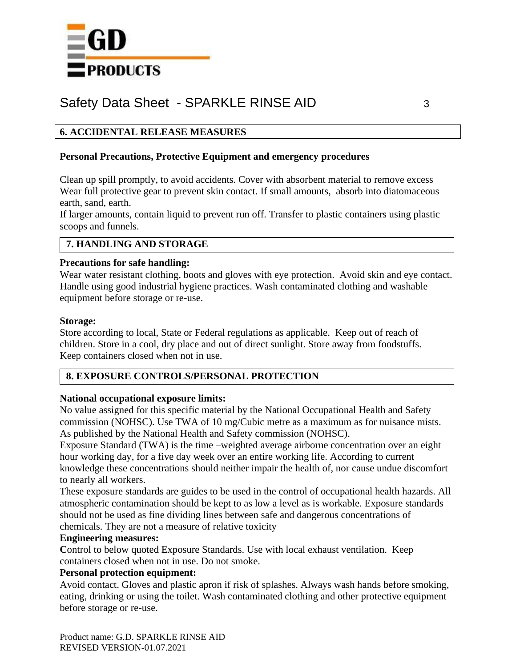

## **6. ACCIDENTAL RELEASE MEASURES**

### **Personal Precautions, Protective Equipment and emergency procedures**

Clean up spill promptly, to avoid accidents. Cover with absorbent material to remove excess Wear full protective gear to prevent skin contact. If small amounts, absorb into diatomaceous earth, sand, earth.

If larger amounts, contain liquid to prevent run off. Transfer to plastic containers using plastic scoops and funnels.

## **7. HANDLING AND STORAGE**

### **Precautions for safe handling:**

Wear water resistant clothing, boots and gloves with eye protection. Avoid skin and eye contact. Handle using good industrial hygiene practices. Wash contaminated clothing and washable equipment before storage or re-use.

### **Storage:**

Store according to local, State or Federal regulations as applicable. Keep out of reach of children. Store in a cool, dry place and out of direct sunlight. Store away from foodstuffs. Keep containers closed when not in use.

## **8. EXPOSURE CONTROLS/PERSONAL PROTECTION**

### **National occupational exposure limits:**

No value assigned for this specific material by the National Occupational Health and Safety commission (NOHSC). Use TWA of 10 mg/Cubic metre as a maximum as for nuisance mists. As published by the National Health and Safety commission (NOHSC).

Exposure Standard (TWA) is the time –weighted average airborne concentration over an eight hour working day, for a five day week over an entire working life. According to current knowledge these concentrations should neither impair the health of, nor cause undue discomfort to nearly all workers.

These exposure standards are guides to be used in the control of occupational health hazards. All atmospheric contamination should be kept to as low a level as is workable. Exposure standards should not be used as fine dividing lines between safe and dangerous concentrations of chemicals. They are not a measure of relative toxicity

## **Engineering measures:**

Control to below quoted Exposure Standards. Use with local exhaust ventilation. Keep containers closed when not in use. Do not smoke.

### **Personal protection equipment:**

Avoid contact. Gloves and plastic apron if risk of splashes. Always wash hands before smoking, eating, drinking or using the toilet. Wash contaminated clothing and other protective equipment before storage or re-use.

Product name: G.D. SPARKLE RINSE AID REVISED VERSION-01.07.2021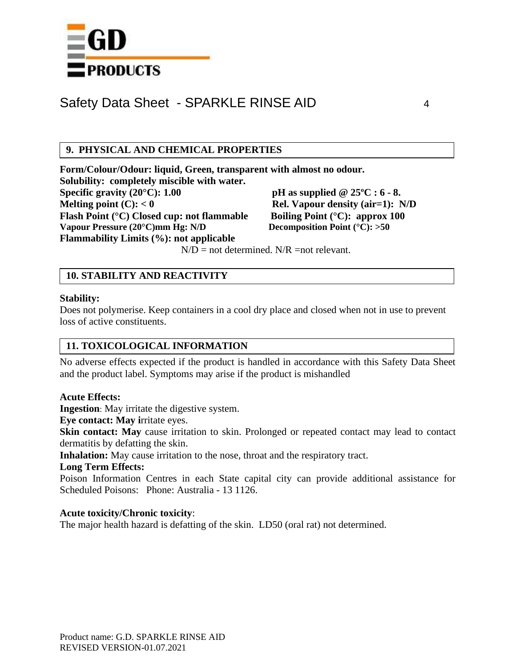

## **9. PHYSICAL AND CHEMICAL PROPERTIES**

**Form/Colour/Odour: liquid, Green, transparent with almost no odour. Solubility: completely miscible with water. Specific gravity (20°C): 1.00 pH as supplied @ 25ºC : 6 - 8. Melting point (C):**  $< 0$  **Rel. Vapour density (air=1):** N/D **Flash Point (°C) Closed cup: not flammable Boiling Point (°C): approx 100 Vapour Pressure (20°C)mm Hg: N/D Decomposition Point (°C): >50 Flammability Limits (%): not applicable**

 $N/D$  = not determined.  $N/R$  = not relevant.

## **10. STABILITY AND REACTIVITY**

### **Stability:**

Does not polymerise. Keep containers in a cool dry place and closed when not in use to prevent loss of active constituents.

## **11. TOXICOLOGICAL INFORMATION**

No adverse effects expected if the product is handled in accordance with this Safety Data Sheet and the product label. Symptoms may arise if the product is mishandled

### **Acute Effects:**

**Ingestion**: May irritate the digestive system.

**Eye contact: May i**rritate eyes.

**Skin contact:** May cause irritation to skin. Prolonged or repeated contact may lead to contact dermatitis by defatting the skin.

**Inhalation:** May cause irritation to the nose, throat and the respiratory tract.

#### **Long Term Effects:**

Poison Information Centres in each State capital city can provide additional assistance for Scheduled Poisons: Phone: Australia - 13 1126.

### **Acute toxicity/Chronic toxicity**:

The major health hazard is defatting of the skin. LD50 (oral rat) not determined.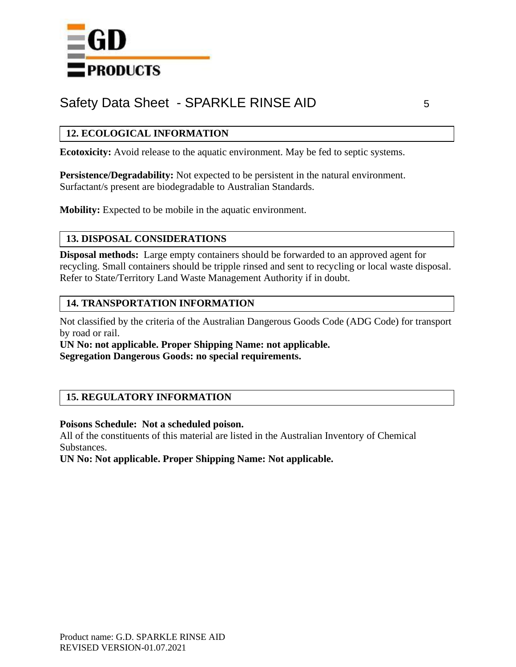

## **12. ECOLOGICAL INFORMATION**

**Ecotoxicity:** Avoid release to the aquatic environment. May be fed to septic systems.

**Persistence/Degradability:** Not expected to be persistent in the natural environment. Surfactant/s present are biodegradable to Australian Standards.

**Mobility:** Expected to be mobile in the aquatic environment.

## **13. DISPOSAL CONSIDERATIONS**

**Disposal methods:** Large empty containers should be forwarded to an approved agent for recycling. Small containers should be tripple rinsed and sent to recycling or local waste disposal. Refer to State/Territory Land Waste Management Authority if in doubt.

## **14. TRANSPORTATION INFORMATION**

Not classified by the criteria of the Australian Dangerous Goods Code (ADG Code) for transport by road or rail.

**UN No: not applicable. Proper Shipping Name: not applicable. Segregation Dangerous Goods: no special requirements.**

## **15. REGULATORY INFORMATION**

### **Poisons Schedule: Not a scheduled poison.**

All of the constituents of this material are listed in the Australian Inventory of Chemical Substances.

**UN No: Not applicable. Proper Shipping Name: Not applicable.**